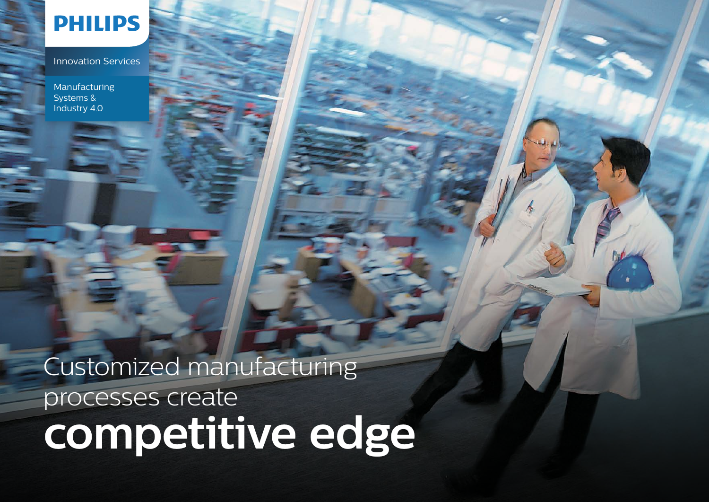

Innovation Services

Manufacturing Systems & Industry 4.0

# Customized manufacturing processes create **competitive edge**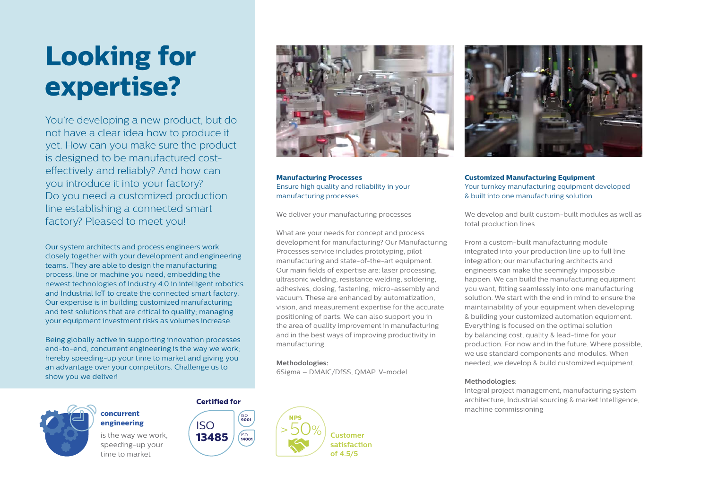# **Looking for expertise?**

You're developing a new product, but do not have a clear idea how to produce it yet. How can you make sure the product is designed to be manufactured costeffectively and reliably? And how can you introduce it into your factory? Do you need a customized production line establishing a connected smart factory? Pleased to meet you!

Our system architects and process engineers work closely together with your development and engineering teams. They are able to design the manufacturing process, line or machine you need, embedding the newest technologies of Industry 4.0 in intelligent robotics and Industrial IoT to create the connected smart factory. Our expertise is in building customized manufacturing and test solutions that are critical to quality; managing your equipment investment risks as volumes increase.

Being globally active in supporting innovation processes end-to-end, concurrent engineering is the way we work; hereby speeding-up your time to market and giving you an advantage over your competitors. Challenge us to show you we deliver!

**Certified for**

ISO

ISO **9001**

ISO **14001**



# **concurrent engineering**

is the way we work, speeding-up your time to market



**Manufacturing Processes** Ensure high quality and reliability in your manufacturing processes

We deliver your manufacturing processes

What are your needs for concept and process development for manufacturing? Our Manufacturing Processes service includes prototyping, pilot manufacturing and state-of-the-art equipment. Our main fields of expertise are: laser processing, ultrasonic welding, resistance welding, soldering, adhesives, dosing, fastening, micro-assembly and vacuum. These are enhanced by automatization, vision, and measurement expertise for the accurate positioning of parts. We can also support you in the area of quality improvement in manufacturing and in the best ways of improving productivity in manufacturing.

### **Methodologies:**

6Sigma – DMAIC/DfSS, QMAP, V-model



**Customized Manufacturing Equipment**  Your turnkey manufacturing equipment developed & built into one manufacturing solution

We develop and built custom-built modules as well as total production lines

From a custom-built manufacturing module integrated into your production line up to full line integration; our manufacturing architects and engineers can make the seemingly impossible happen. We can build the manufacturing equipment you want, fitting seamlessly into one manufacturing solution. We start with the end in mind to ensure the maintainability of your equipment when developing & building your customized automation equipment. Everything is focused on the optimal solution by balancing cost, quality & lead-time for your production. For now and in the future. Where possible, we use standard components and modules. When needed, we develop & build customized equipment.

### **Methodologies:**

Integral project management, manufacturing system architecture, Industrial sourcing & market intelligence, machine commissioning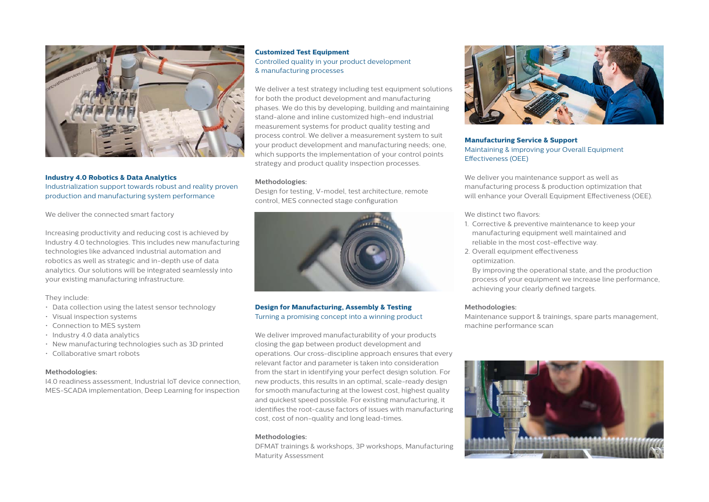

**Industry 4.0 Robotics & Data Analytics** Industrialization support towards robust and reality proven production and manufacturing system performance

We deliver the connected smart factory

Increasing productivity and reducing cost is achieved by Industry 4.0 technologies. This includes new manufacturing technologies like advanced industrial automation and robotics as well as strategic and in-depth use of data analytics. Our solutions will be integrated seamlessly into your existing manufacturing infrastructure.

#### They include:

- Data collection using the latest sensor technology
- Visual inspection systems
- Connection to MES system
- Industry 4.0 data analytics
- New manufacturing technologies such as 3D printed
- Collaborative smart robots

#### **Methodologies:**

I4.0 readiness assessment, Industrial IoT device connection, MES-SCADA implementation, Deep Learning for inspection

# **Customized Test Equipment**  Controlled quality in your product development & manufacturing processes

We deliver a test strategy including test equipment solutions for both the product development and manufacturing phases. We do this by developing, building and maintaining stand-alone and inline customized high-end industrial measurement systems for product quality testing and process control. We deliver a measurement system to suit your product development and manufacturing needs; one, which supports the implementation of your control points strategy and product quality inspection processes.

#### **Methodologies:**

Design for testing, V-model, test architecture, remote control, MES connected stage configuration



# **Design for Manufacturing, Assembly & Testing**  Turning a promising concept into a winning product

We deliver improved manufacturability of your products closing the gap between product development and operations. Our cross-discipline approach ensures that every relevant factor and parameter is taken into consideration from the start in identifying your perfect design solution. For new products, this results in an optimal, scale-ready design for smooth manufacturing at the lowest cost, highest quality and quickest speed possible. For existing manufacturing, it identifies the root-cause factors of issues with manufacturing cost, cost of non-quality and long lead-times.

#### **Methodologies:**

DFMAT trainings & workshops, 3P workshops, Manufacturing Maturity Assessment



# **Manufacturing Service & Support**  Maintaining & improving your Overall Equipment Effectiveness (OEE)

We deliver you maintenance support as well as manufacturing process & production optimization that will enhance your Overall Equipment Effectiveness (OEE).

We distinct two flavors:

- 1. Corrective & preventive maintenance to keep your manufacturing equipment well maintained and reliable in the most cost-effective way.
- 2. Overall equipment effectiveness optimization.

 By improving the operational state, and the production process of your equipment we increase line performance, achieving your clearly defined targets.

#### **Methodologies:**

Maintenance support & trainings, spare parts management, machine performance scan